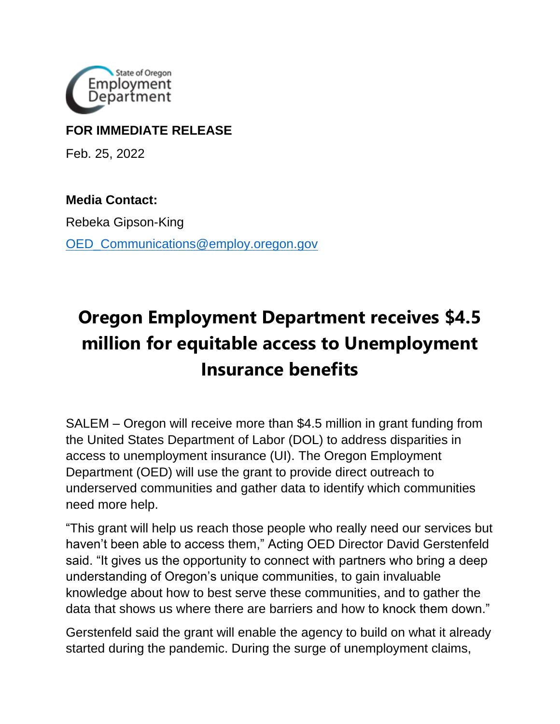

## **FOR IMMEDIATE RELEASE**

Feb. 25, 2022

**Media Contact:** 

Rebeka Gipson-King OED Communications@employ.oregon.gov

## **Oregon Employment Department receives \$4.5 million for equitable access to Unemployment Insurance benefits**

SALEM – Oregon will receive more than \$4.5 million in grant funding from the United States Department of Labor (DOL) to address disparities in access to unemployment insurance (UI). The Oregon Employment Department (OED) will use the grant to provide direct outreach to underserved communities and gather data to identify which communities need more help.

"This grant will help us reach those people who really need our services but haven't been able to access them," Acting OED Director David Gerstenfeld said. "It gives us the opportunity to connect with partners who bring a deep understanding of Oregon's unique communities, to gain invaluable knowledge about how to best serve these communities, and to gather the data that shows us where there are barriers and how to knock them down."

Gerstenfeld said the grant will enable the agency to build on what it already started during the pandemic. During the surge of unemployment claims,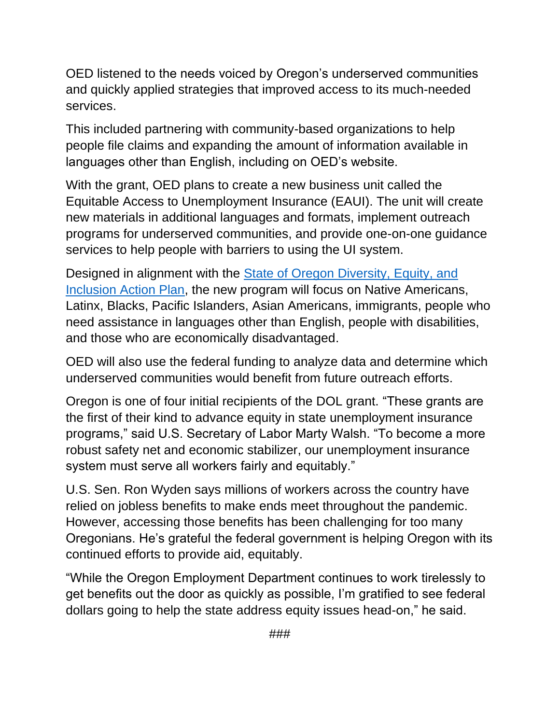OED listened to the needs voiced by Oregon's underserved communities and quickly applied strategies that improved access to its much-needed services.

This included partnering with community-based organizations to help people file claims and expanding the amount of information available in languages other than English, including on OED's website.

With the grant, OED plans to create a new business unit called the Equitable Access to Unemployment Insurance (EAUI). The unit will create new materials in additional languages and formats, implement outreach programs for underserved communities, and provide one-on-one guidance services to help people with barriers to using the UI system.

Designed in alignment with the [State of Oregon Diversity, Equity, and](https://www.oregon.gov/lcd/Commission/Documents/2021-09_Item-2_Directors-Report_Attachment-A_DEI-Action-Plan.pdf)  [Inclusion Action Plan,](https://www.oregon.gov/lcd/Commission/Documents/2021-09_Item-2_Directors-Report_Attachment-A_DEI-Action-Plan.pdf) the new program will focus on Native Americans, Latinx, Blacks, Pacific Islanders, Asian Americans, immigrants, people who need assistance in languages other than English, people with disabilities, and those who are economically disadvantaged.

OED will also use the federal funding to analyze data and determine which underserved communities would benefit from future outreach efforts.

Oregon is one of four initial recipients of the DOL grant. "These grants are the first of their kind to advance equity in state unemployment insurance programs," said U.S. Secretary of Labor Marty Walsh. "To become a more robust safety net and economic stabilizer, our unemployment insurance system must serve all workers fairly and equitably."

U.S. Sen. Ron Wyden says millions of workers across the country have relied on jobless benefits to make ends meet throughout the pandemic. However, accessing those benefits has been challenging for too many Oregonians. He's grateful the federal government is helping Oregon with its continued efforts to provide aid, equitably.

"While the Oregon Employment Department continues to work tirelessly to get benefits out the door as quickly as possible, I'm gratified to see federal dollars going to help the state address equity issues head-on," he said.